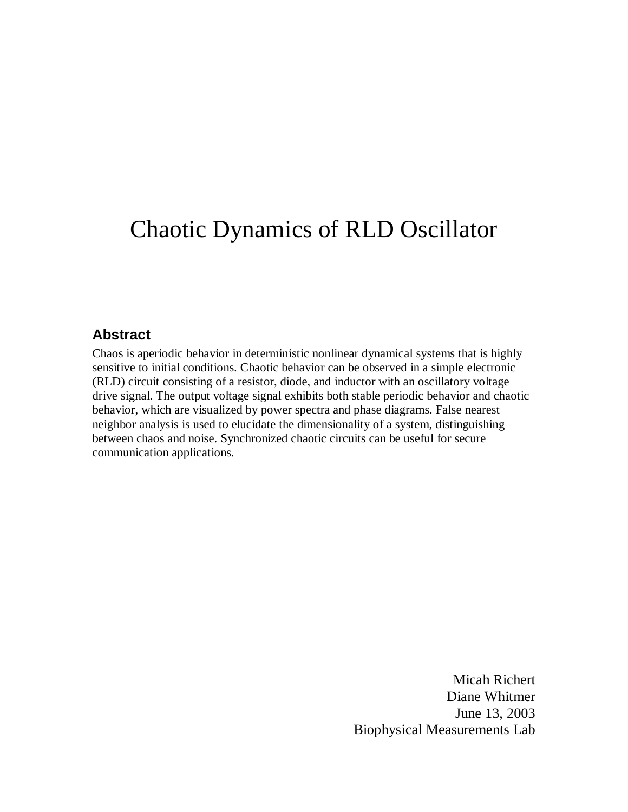# Chaotic Dynamics of RLD Oscillator

# **Abstract**

Chaos is aperiodic behavior in deterministic nonlinear dynamical systems that is highly sensitive to initial conditions. Chaotic behavior can be observed in a simple electronic (RLD) circuit consisting of a resistor, diode, and inductor with an oscillatory voltage drive signal. The output voltage signal exhibits both stable periodic behavior and chaotic behavior, which are visualized by power spectra and phase diagrams. False nearest neighbor analysis is used to elucidate the dimensionality of a system, distinguishing between chaos and noise. Synchronized chaotic circuits can be useful for secure communication applications.

> Micah Richert Diane Whitmer June 13, 2003 Biophysical Measurements Lab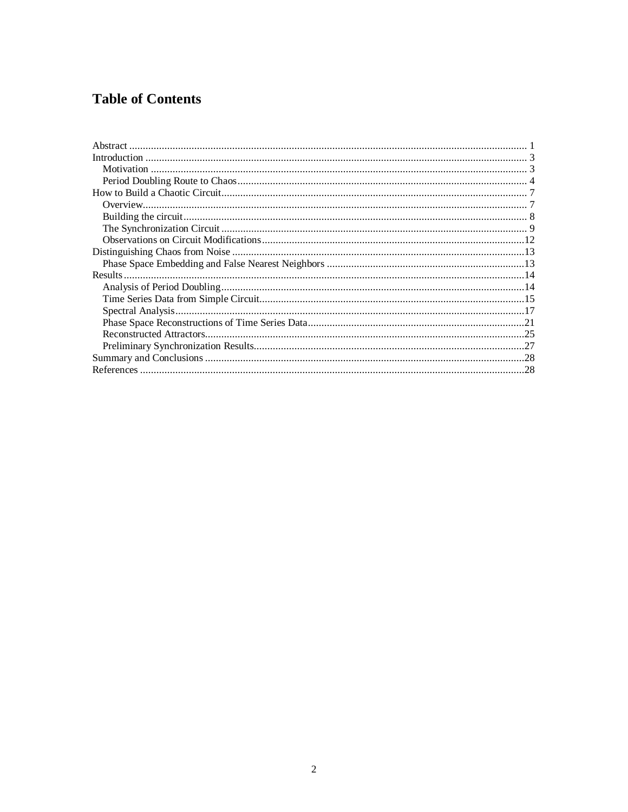# **Table of Contents**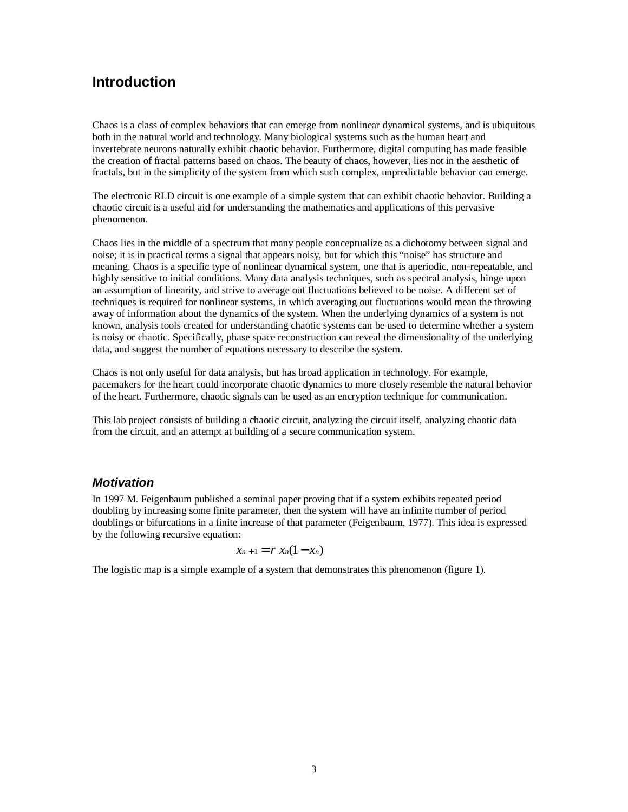# **Introduction**

Chaos is a class of complex behaviors that can emerge from nonlinear dynamical systems, and is ubiquitous both in the natural world and technology. Many biological systems such as the human heart and invertebrate neurons naturally exhibit chaotic behavior. Furthermore, digital computing has made feasible the creation of fractal patterns based on chaos. The beauty of chaos, however, lies not in the aesthetic of fractals, but in the simplicity of the system from which such complex, unpredictable behavior can emerge.

The electronic RLD circuit is one example of a simple system that can exhibit chaotic behavior. Building a chaotic circuit is a useful aid for understanding the mathematics and applications of this pervasive phenomenon.

Chaos lies in the middle of a spectrum that many people conceptualize as a dichotomy between signal and noise; it is in practical terms a signal that appears noisy, but for which this "noise" has structure and meaning. Chaos is a specific type of nonlinear dynamical system, one that is aperiodic, non-repeatable, and highly sensitive to initial conditions. Many data analysis techniques, such as spectral analysis, hinge upon an assumption of linearity, and strive to average out fluctuations believed to be noise. A different set of techniques is required for nonlinear systems, in which averaging out fluctuations would mean the throwing away of information about the dynamics of the system. When the underlying dynamics of a system is not known, analysis tools created for understanding chaotic systems can be used to determine whether a system is noisy or chaotic. Specifically, phase space reconstruction can reveal the dimensionality of the underlying data, and suggest the number of equations necessary to describe the system.

Chaos is not only useful for data analysis, but has broad application in technology. For example, pacemakers for the heart could incorporate chaotic dynamics to more closely resemble the natural behavior of the heart. Furthermore, chaotic signals can be used as an encryption technique for communication.

This lab project consists of building a chaotic circuit, analyzing the circuit itself, analyzing chaotic data from the circuit, and an attempt at building of a secure communication system.

#### **Motivation**

In 1997 M. Feigenbaum published a seminal paper proving that if a system exhibits repeated period doubling by increasing some finite parameter, then the system will have an infinite number of period doublings or bifurcations in a finite increase of that parameter (Feigenbaum, 1977). This idea is expressed by the following recursive equation:

$$
x_{n+1}=r x_n(1-x_n)
$$

The logistic map is a simple example of a system that demonstrates this phenomenon (figure 1).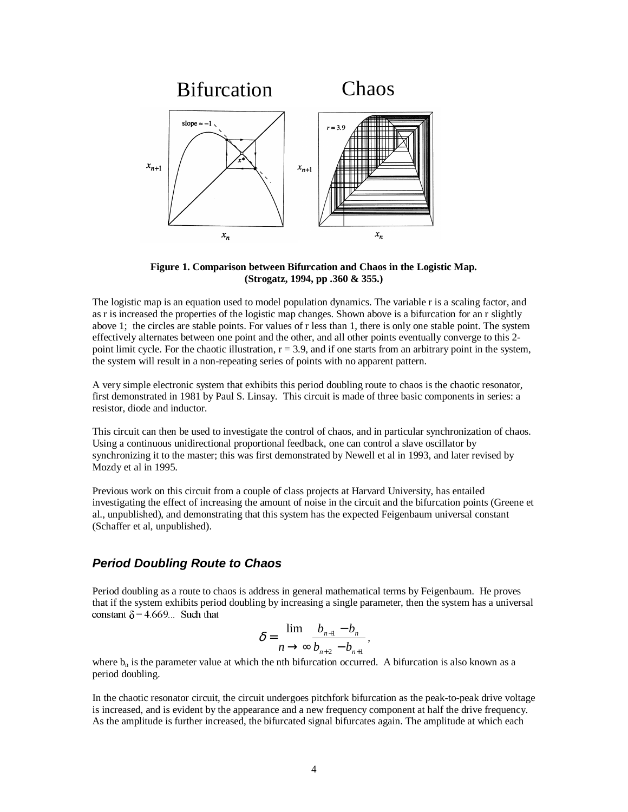

**Figure 1. Comparison between Bifurcation and Chaos in the Logistic Map. (Strogatz, 1994, pp .360 & 355.)**

The logistic map is an equation used to model population dynamics. The variable r is a scaling factor, and as r is increased the properties of the logistic map changes. Shown above is a bifurcation for an r slightly above 1; the circles are stable points. For values of r less than 1, there is only one stable point. The system effectively alternates between one point and the other, and all other points eventually converge to this 2 point limit cycle. For the chaotic illustration,  $r = 3.9$ , and if one starts from an arbitrary point in the system, the system will result in a non-repeating series of points with no apparent pattern.

A very simple electronic system that exhibits this period doubling route to chaos is the chaotic resonator, first demonstrated in 1981 by Paul S. Linsay. This circuit is made of three basic components in series: a resistor, diode and inductor.

This circuit can then be used to investigate the control of chaos, and in particular synchronization of chaos. Using a continuous unidirectional proportional feedback, one can control a slave oscillator by synchronizing it to the master; this was first demonstrated by Newell et al in 1993, and later revised by Mozdy et al in 1995.

Previous work on this circuit from a couple of class projects at Harvard University, has entailed investigating the effect of increasing the amount of noise in the circuit and the bifurcation points (Greene et al., unpublished), and demonstrating that this system has the expected Feigenbaum universal constant (Schaffer et al, unpublished).

#### **Period Doubling Route to Chaos**

Period doubling as a route to chaos is address in general mathematical terms by Feigenbaum. He proves that if the system exhibits period doubling by increasing a single parameter, then the system has a universal constant  $\delta$  = 4.669... Such that

$$
\delta = \frac{\lim_{n \to \infty} \frac{b_{n+1} - b_n}{b_{n+2} - b_{n+1}}}{b_{n+2} - b_{n+1}},
$$

where  $b_n$  is the parameter value at which the nth bifurcation occurred. A bifurcation is also known as a period doubling.

In the chaotic resonator circuit, the circuit undergoes pitchfork bifurcation as the peak-to-peak drive voltage is increased, and is evident by the appearance and a new frequency component at half the drive frequency. As the amplitude is further increased, the bifurcated signal bifurcates again. The amplitude at which each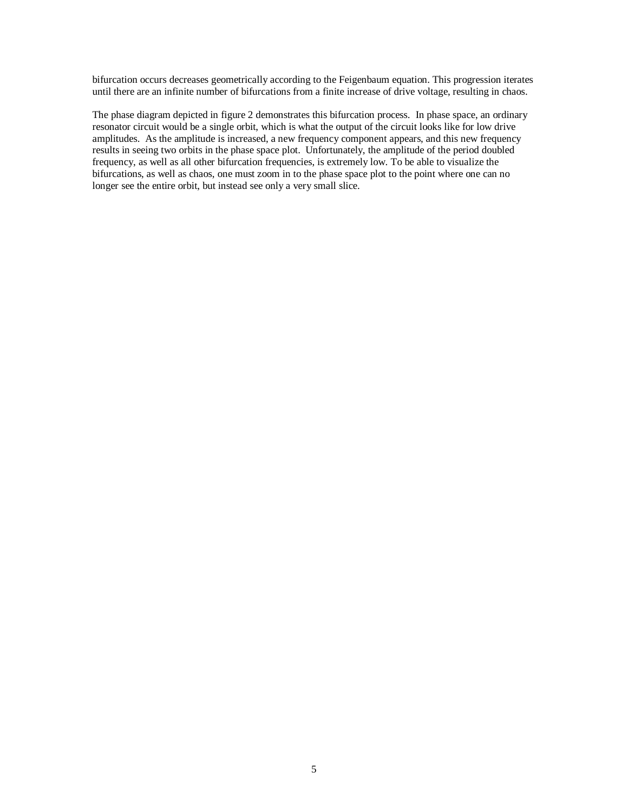bifurcation occurs decreases geometrically according to the Feigenbaum equation. This progression iterates until there are an infinite number of bifurcations from a finite increase of drive voltage, resulting in chaos.

The phase diagram depicted in figure 2 demonstrates this bifurcation process. In phase space, an ordinary resonator circuit would be a single orbit, which is what the output of the circuit looks like for low drive amplitudes. As the amplitude is increased, a new frequency component appears, and this new frequency results in seeing two orbits in the phase space plot. Unfortunately, the amplitude of the period doubled frequency, as well as all other bifurcation frequencies, is extremely low. To be able to visualize the bifurcations, as well as chaos, one must zoom in to the phase space plot to the point where one can no longer see the entire orbit, but instead see only a very small slice.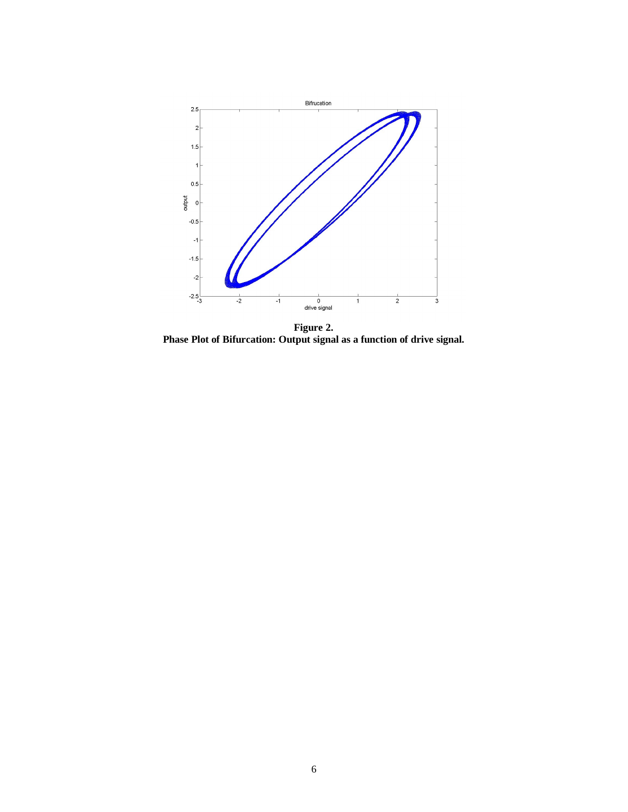

**Figure 2. Phase Plot of Bifurcation: Output signal as a function of drive signal.**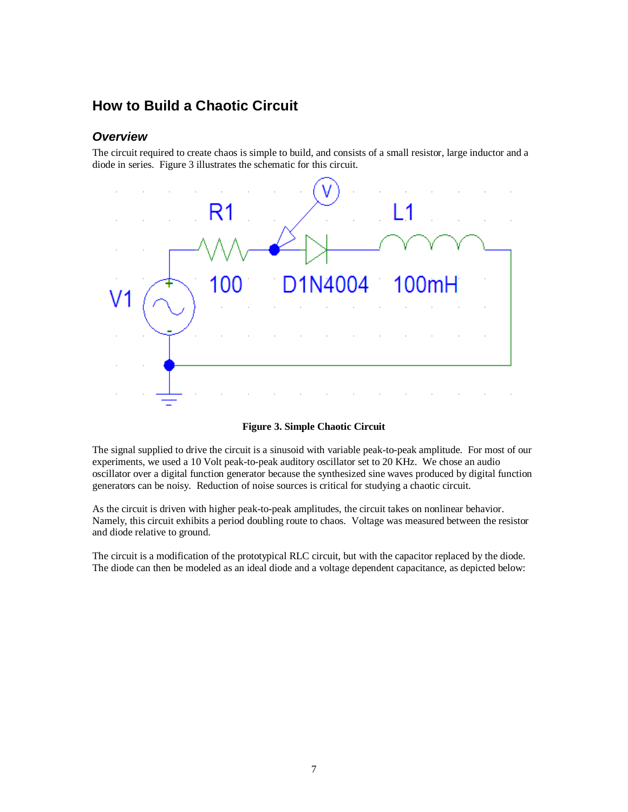# **How to Build a Chaotic Circuit**

#### **Overview**

The circuit required to create chaos is simple to build, and consists of a small resistor, large inductor and a diode in series. Figure 3 illustrates the schematic for this circuit.



**Figure 3. Simple Chaotic Circuit**

The signal supplied to drive the circuit is a sinusoid with variable peak-to-peak amplitude. For most of our experiments, we used a 10 Volt peak-to-peak auditory oscillator set to 20 KHz. We chose an audio oscillator over a digital function generator because the synthesized sine waves produced by digital function generators can be noisy. Reduction of noise sources is critical for studying a chaotic circuit.

As the circuit is driven with higher peak-to-peak amplitudes, the circuit takes on nonlinear behavior. Namely, this circuit exhibits a period doubling route to chaos. Voltage was measured between the resistor and diode relative to ground.

The circuit is a modification of the prototypical RLC circuit, but with the capacitor replaced by the diode. The diode can then be modeled as an ideal diode and a voltage dependent capacitance, as depicted below: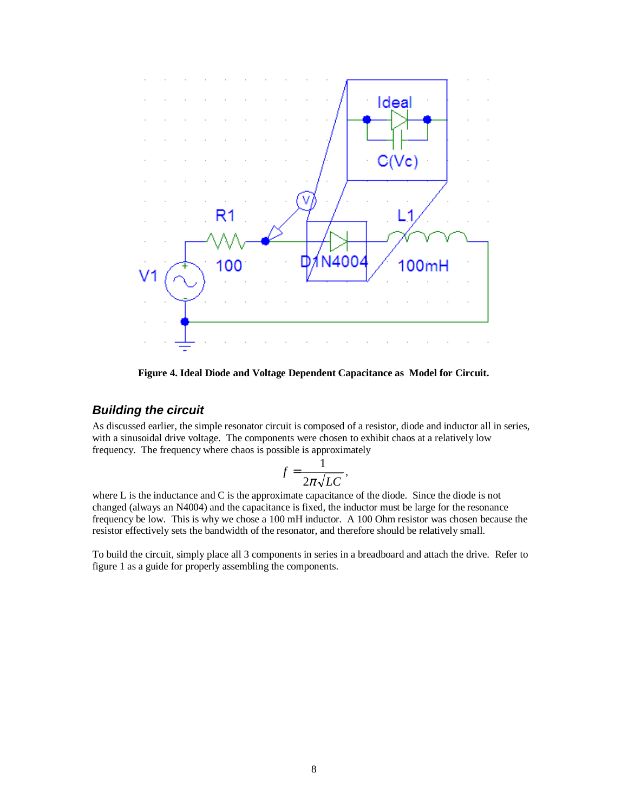

**Figure 4. Ideal Diode and Voltage Dependent Capacitance as Model for Circuit.**

#### **Building the circuit**

As discussed earlier, the simple resonator circuit is composed of a resistor, diode and inductor all in series, with a sinusoidal drive voltage. The components were chosen to exhibit chaos at a relatively low frequency. The frequency where chaos is possible is approximately

$$
f = \frac{1}{2\pi\sqrt{LC}},
$$

where L is the inductance and C is the approximate capacitance of the diode. Since the diode is not changed (always an N4004) and the capacitance is fixed, the inductor must be large for the resonance frequency be low. This is why we chose a 100 mH inductor. A 100 Ohm resistor was chosen because the resistor effectively sets the bandwidth of the resonator, and therefore should be relatively small.

To build the circuit, simply place all 3 components in series in a breadboard and attach the drive. Refer to figure 1 as a guide for properly assembling the components.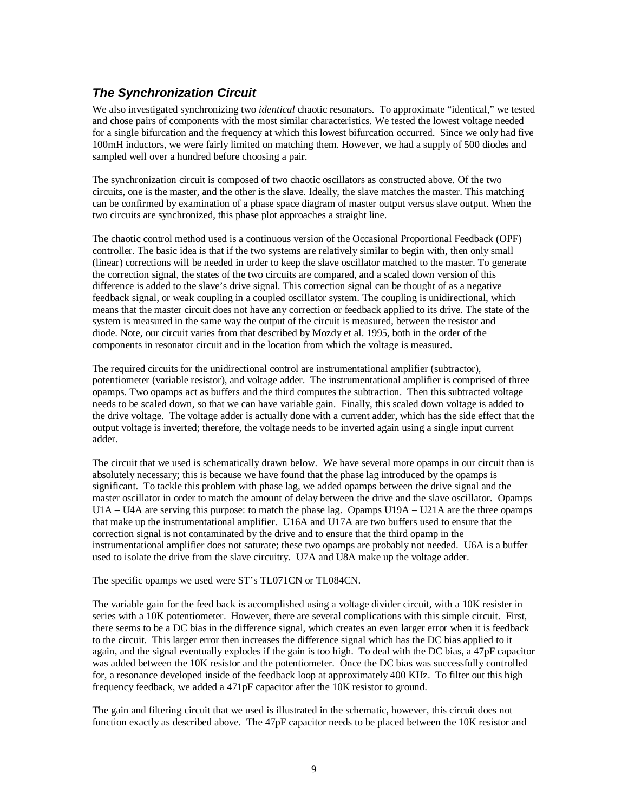# **The Synchronization Circuit**

We also investigated synchronizing two *identical* chaotic resonators. To approximate "identical," we tested and chose pairs of components with the most similar characteristics. We tested the lowest voltage needed for a single bifurcation and the frequency at which this lowest bifurcation occurred. Since we only had five 100mH inductors, we were fairly limited on matching them. However, we had a supply of 500 diodes and sampled well over a hundred before choosing a pair.

The synchronization circuit is composed of two chaotic oscillators as constructed above. Of the two circuits, one is the master, and the other is the slave. Ideally, the slave matches the master. This matching can be confirmed by examination of a phase space diagram of master output versus slave output. When the two circuits are synchronized, this phase plot approaches a straight line.

The chaotic control method used is a continuous version of the Occasional Proportional Feedback (OPF) controller. The basic idea is that if the two systems are relatively similar to begin with, then only small (linear) corrections will be needed in order to keep the slave oscillator matched to the master. To generate the correction signal, the states of the two circuits are compared, and a scaled down version of this difference is added to the slave's drive signal. This correction signal can be thought of as a negative feedback signal, or weak coupling in a coupled oscillator system. The coupling is unidirectional, which means that the master circuit does not have any correction or feedback applied to its drive. The state of the system is measured in the same way the output of the circuit is measured, between the resistor and diode. Note, our circuit varies from that described by Mozdy et al. 1995, both in the order of the components in resonator circuit and in the location from which the voltage is measured.

The required circuits for the unidirectional control are instrumentational amplifier (subtractor), potentiometer (variable resistor), and voltage adder. The instrumentational amplifier is comprised of three opamps. Two opamps act as buffers and the third computes the subtraction. Then this subtracted voltage needs to be scaled down, so that we can have variable gain. Finally, this scaled down voltage is added to the drive voltage. The voltage adder is actually done with a current adder, which has the side effect that the output voltage is inverted; therefore, the voltage needs to be inverted again using a single input current adder.

The circuit that we used is schematically drawn below. We have several more opamps in our circuit than is absolutely necessary; this is because we have found that the phase lag introduced by the opamps is significant. To tackle this problem with phase lag, we added opamps between the drive signal and the master oscillator in order to match the amount of delay between the drive and the slave oscillator. Opamps U1A – U4A are serving this purpose: to match the phase lag. Opamps U19A – U21A are the three opamps that make up the instrumentational amplifier. U16A and U17A are two buffers used to ensure that the correction signal is not contaminated by the drive and to ensure that the third opamp in the instrumentational amplifier does not saturate; these two opamps are probably not needed. U6A is a buffer used to isolate the drive from the slave circuitry. U7A and U8A make up the voltage adder.

#### The specific opamps we used were ST's TL071CN or TL084CN.

The variable gain for the feed back is accomplished using a voltage divider circuit, with a 10K resister in series with a 10K potentiometer. However, there are several complications with this simple circuit. First, there seems to be a DC bias in the difference signal, which creates an even larger error when it is feedback to the circuit. This larger error then increases the difference signal which has the DC bias applied to it again, and the signal eventually explodes if the gain is too high. To deal with the DC bias, a 47pF capacitor was added between the 10K resistor and the potentiometer. Once the DC bias was successfully controlled for, a resonance developed inside of the feedback loop at approximately 400 KHz. To filter out this high frequency feedback, we added a 471pF capacitor after the 10K resistor to ground.

The gain and filtering circuit that we used is illustrated in the schematic, however, this circuit does not function exactly as described above. The 47pF capacitor needs to be placed between the 10K resistor and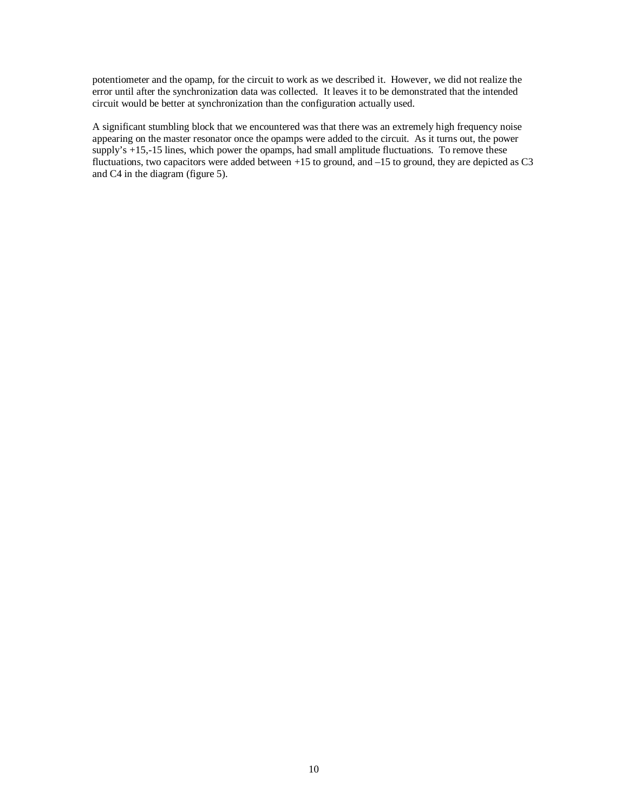potentiometer and the opamp, for the circuit to work as we described it. However, we did not realize the error until after the synchronization data was collected. It leaves it to be demonstrated that the intended circuit would be better at synchronization than the configuration actually used.

A significant stumbling block that we encountered was that there was an extremely high frequency noise appearing on the master resonator once the opamps were added to the circuit. As it turns out, the power supply's +15,-15 lines, which power the opamps, had small amplitude fluctuations. To remove these fluctuations, two capacitors were added between +15 to ground, and –15 to ground, they are depicted as C3 and C4 in the diagram (figure 5).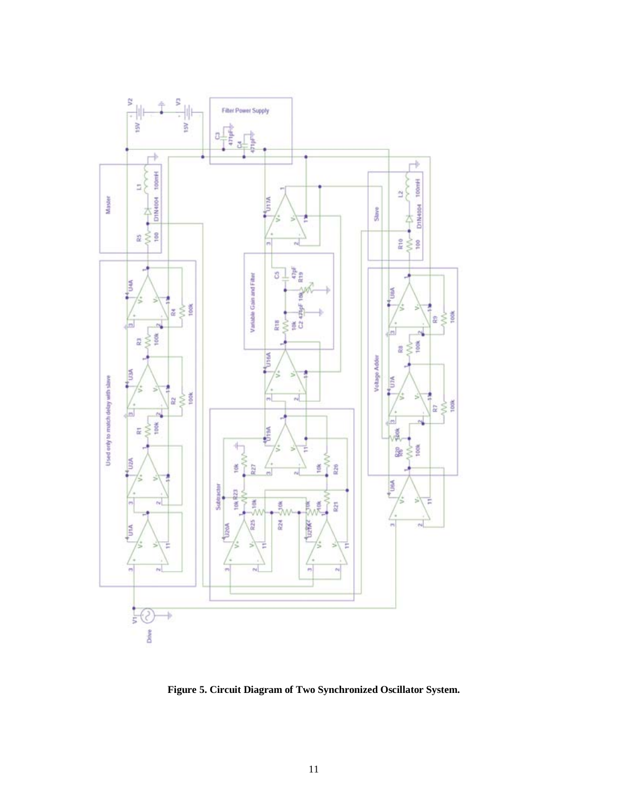

**Figure 5. Circuit Diagram of Two Synchronized Oscillator System.**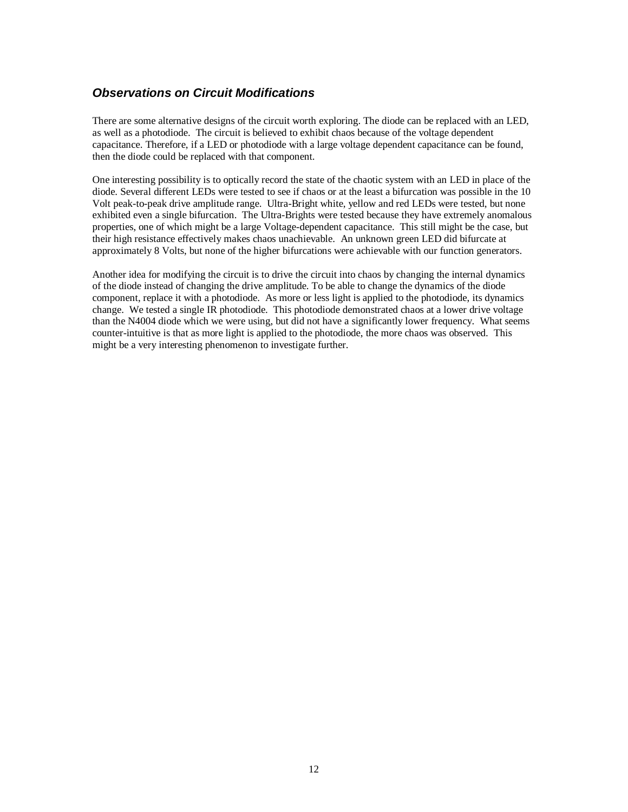# **Observations on Circuit Modifications**

There are some alternative designs of the circuit worth exploring. The diode can be replaced with an LED, as well as a photodiode. The circuit is believed to exhibit chaos because of the voltage dependent capacitance. Therefore, if a LED or photodiode with a large voltage dependent capacitance can be found, then the diode could be replaced with that component.

One interesting possibility is to optically record the state of the chaotic system with an LED in place of the diode. Several different LEDs were tested to see if chaos or at the least a bifurcation was possible in the 10 Volt peak-to-peak drive amplitude range. Ultra-Bright white, yellow and red LEDs were tested, but none exhibited even a single bifurcation. The Ultra-Brights were tested because they have extremely anomalous properties, one of which might be a large Voltage-dependent capacitance. This still might be the case, but their high resistance effectively makes chaos unachievable. An unknown green LED did bifurcate at approximately 8 Volts, but none of the higher bifurcations were achievable with our function generators.

Another idea for modifying the circuit is to drive the circuit into chaos by changing the internal dynamics of the diode instead of changing the drive amplitude. To be able to change the dynamics of the diode component, replace it with a photodiode. As more or less light is applied to the photodiode, its dynamics change. We tested a single IR photodiode. This photodiode demonstrated chaos at a lower drive voltage than the N4004 diode which we were using, but did not have a significantly lower frequency. What seems counter-intuitive is that as more light is applied to the photodiode, the more chaos was observed. This might be a very interesting phenomenon to investigate further.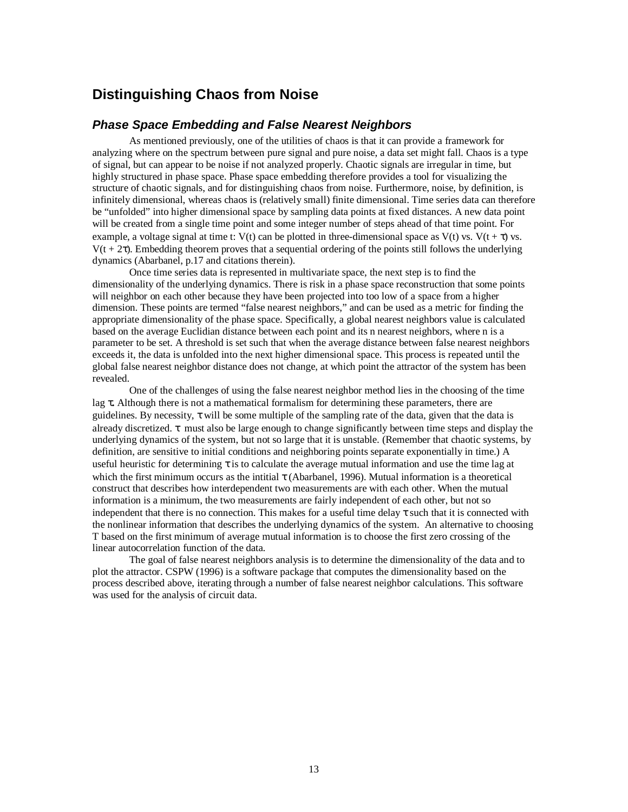# **Distinguishing Chaos from Noise**

#### **Phase Space Embedding and False Nearest Neighbors**

As mentioned previously, one of the utilities of chaos is that it can provide a framework for analyzing where on the spectrum between pure signal and pure noise, a data set might fall. Chaos is a type of signal, but can appear to be noise if not analyzed properly. Chaotic signals are irregular in time, but highly structured in phase space. Phase space embedding therefore provides a tool for visualizing the structure of chaotic signals, and for distinguishing chaos from noise. Furthermore, noise, by definition, is infinitely dimensional, whereas chaos is (relatively small) finite dimensional. Time series data can therefore be "unfolded" into higher dimensional space by sampling data points at fixed distances. A new data point will be created from a single time point and some integer number of steps ahead of that time point. For example, a voltage signal at time t: V(t) can be plotted in three-dimensional space as V(t) vs. V(t +  $\tau$ ) vs.  $V(t + 2τ)$ . Embedding theorem proves that a sequential ordering of the points still follows the underlying dynamics (Abarbanel, p.17 and citations therein).

Once time series data is represented in multivariate space, the next step is to find the dimensionality of the underlying dynamics. There is risk in a phase space reconstruction that some points will neighbor on each other because they have been projected into too low of a space from a higher dimension. These points are termed "false nearest neighbors," and can be used as a metric for finding the appropriate dimensionality of the phase space. Specifically, a global nearest neighbors value is calculated based on the average Euclidian distance between each point and its n nearest neighbors, where n is a parameter to be set. A threshold is set such that when the average distance between false nearest neighbors exceeds it, the data is unfolded into the next higher dimensional space. This process is repeated until the global false nearest neighbor distance does not change, at which point the attractor of the system has been revealed.

One of the challenges of using the false nearest neighbor method lies in the choosing of the time lag τ**.** Although there is not a mathematical formalism for determining these parameters, there are guidelines. By necessity,  $\tau$  will be some multiple of the sampling rate of the data, given that the data is already discretized.  $\tau$  must also be large enough to change significantly between time steps and display the underlying dynamics of the system, but not so large that it is unstable. (Remember that chaotic systems, by definition, are sensitive to initial conditions and neighboring points separate exponentially in time.) A useful heuristic for determining  $\tau$  is to calculate the average mutual information and use the time lag at which the first minimum occurs as the intitial  $\tau$  (Abarbanel, 1996). Mutual information is a theoretical construct that describes how interdependent two measurements are with each other. When the mutual information is a minimum, the two measurements are fairly independent of each other, but not so independent that there is no connection. This makes for a useful time delay  $\tau$  such that it is connected with the nonlinear information that describes the underlying dynamics of the system. An alternative to choosing T based on the first minimum of average mutual information is to choose the first zero crossing of the linear autocorrelation function of the data.

The goal of false nearest neighbors analysis is to determine the dimensionality of the data and to plot the attractor. CSPW (1996) is a software package that computes the dimensionality based on the process described above, iterating through a number of false nearest neighbor calculations. This software was used for the analysis of circuit data.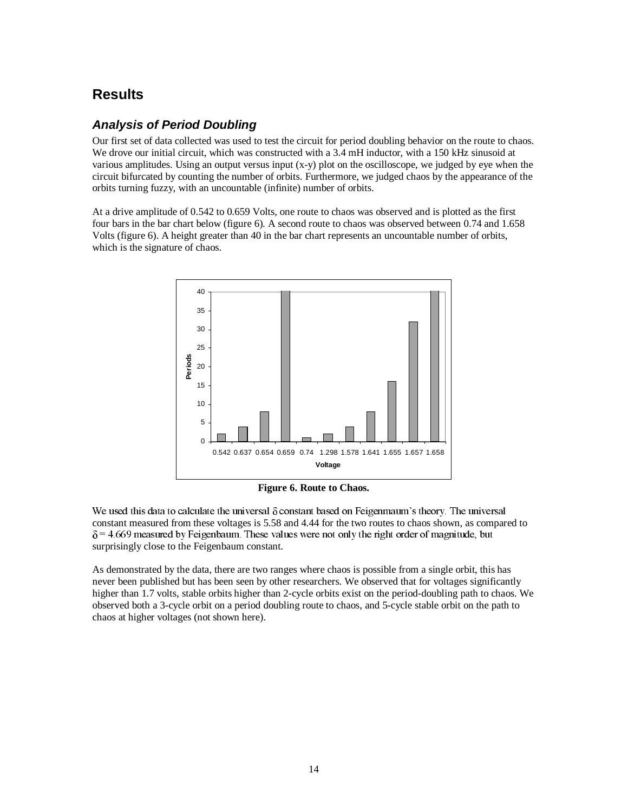# **Results**

# **Analysis of Period Doubling**

Our first set of data collected was used to test the circuit for period doubling behavior on the route to chaos. We drove our initial circuit, which was constructed with a 3.4 mH inductor, with a 150 kHz sinusoid at various amplitudes. Using an output versus input  $(x-y)$  plot on the oscilloscope, we judged by eye when the circuit bifurcated by counting the number of orbits. Furthermore, we judged chaos by the appearance of the orbits turning fuzzy, with an uncountable (infinite) number of orbits.

At a drive amplitude of 0.542 to 0.659 Volts, one route to chaos was observed and is plotted as the first four bars in the bar chart below (figure 6). A second route to chaos was observed between 0.74 and 1.658 Volts (figure 6). A height greater than 40 in the bar chart represents an uncountable number of orbits, which is the signature of chaos.





We used this data to calculate the universal  $\delta$  constant based on Feigenmaum's theory. The universal constant measured from these voltages is 5.58 and 4.44 for the two routes to chaos shown, as compared to  $=$  4.669 measured by Feigenbaum. These values were not only the right order of magnitude, but surprisingly close to the Feigenbaum constant.

As demonstrated by the data, there are two ranges where chaos is possible from a single orbit, this has never been published but has been seen by other researchers. We observed that for voltages significantly higher than 1.7 volts, stable orbits higher than 2-cycle orbits exist on the period-doubling path to chaos. We observed both a 3-cycle orbit on a period doubling route to chaos, and 5-cycle stable orbit on the path to chaos at higher voltages (not shown here).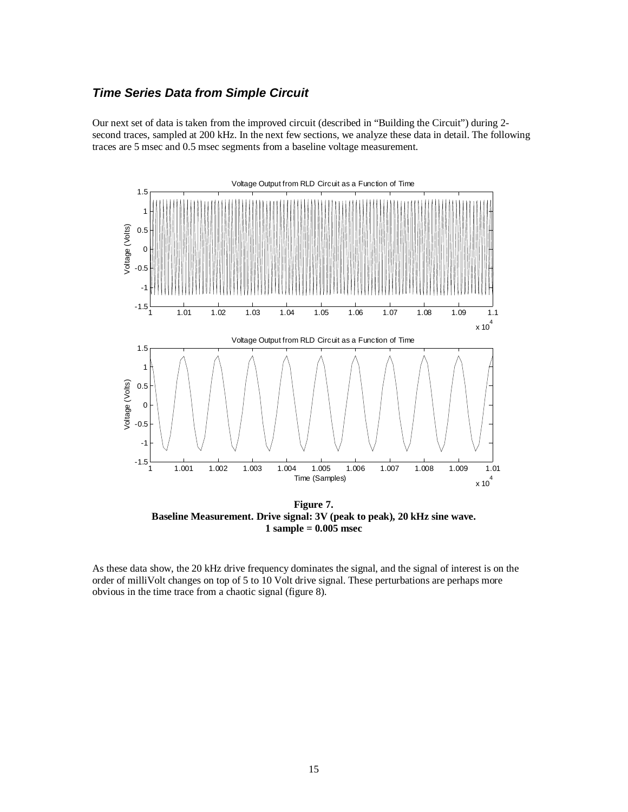#### **Time Series Data from Simple Circuit**

Our next set of data is taken from the improved circuit (described in "Building the Circuit") during 2 second traces, sampled at 200 kHz. In the next few sections, we analyze these data in detail. The following traces are 5 msec and 0.5 msec segments from a baseline voltage measurement.



**Figure 7. Baseline Measurement. Drive signal: 3V (peak to peak), 20 kHz sine wave. 1 sample = 0.005 msec**

As these data show, the 20 kHz drive frequency dominates the signal, and the signal of interest is on the order of milliVolt changes on top of 5 to 10 Volt drive signal. These perturbations are perhaps more obvious in the time trace from a chaotic signal (figure 8).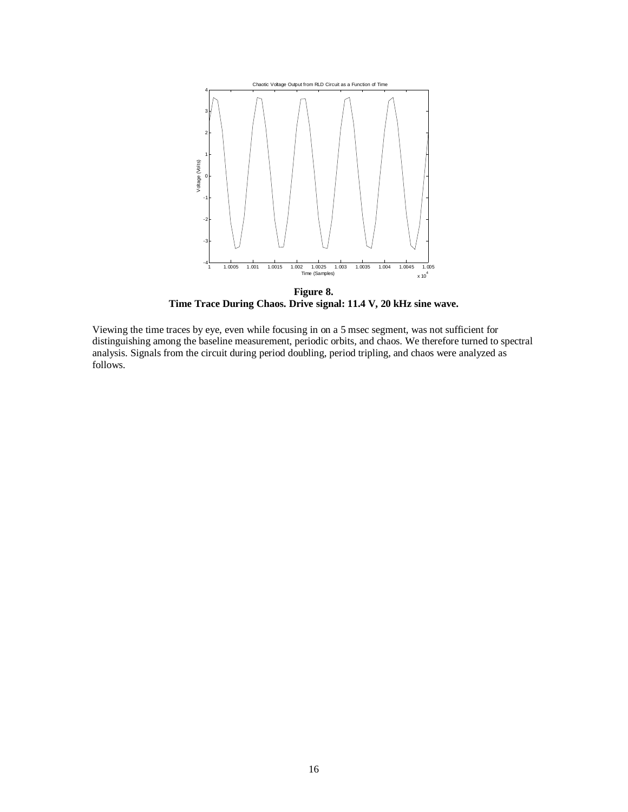

**Figure 8. Time Trace During Chaos. Drive signal: 11.4 V, 20 kHz sine wave.**

Viewing the time traces by eye, even while focusing in on a 5 msec segment, was not sufficient for distinguishing among the baseline measurement, periodic orbits, and chaos. We therefore turned to spectral analysis. Signals from the circuit during period doubling, period tripling, and chaos were analyzed as follows.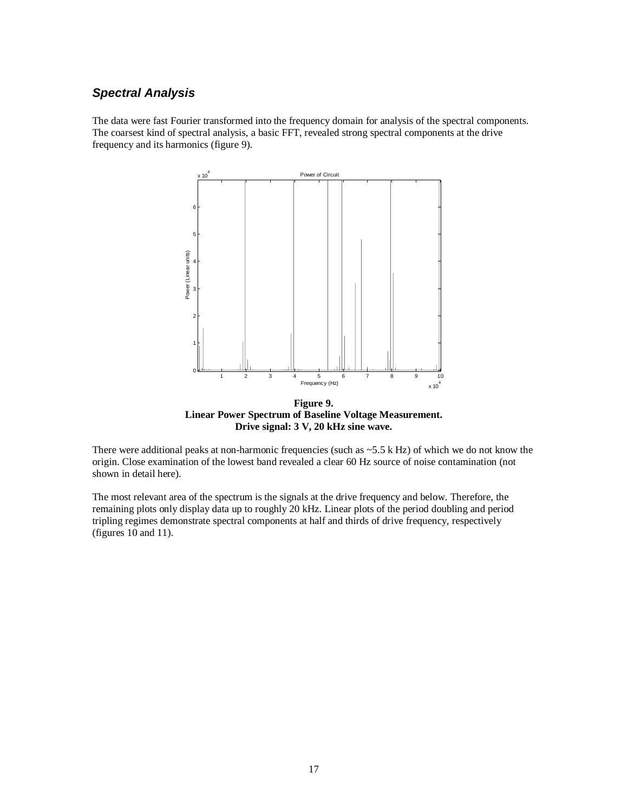# **Spectral Analysis**

The data were fast Fourier transformed into the frequency domain for analysis of the spectral components. The coarsest kind of spectral analysis, a basic FFT, revealed strong spectral components at the drive frequency and its harmonics (figure 9).



**Figure 9. Linear Power Spectrum of Baseline Voltage Measurement. Drive signal: 3 V, 20 kHz sine wave.**

There were additional peaks at non-harmonic frequencies (such as ~5.5 k Hz) of which we do not know the origin. Close examination of the lowest band revealed a clear 60 Hz source of noise contamination (not shown in detail here).

The most relevant area of the spectrum is the signals at the drive frequency and below. Therefore, the remaining plots only display data up to roughly 20 kHz. Linear plots of the period doubling and period tripling regimes demonstrate spectral components at half and thirds of drive frequency, respectively (figures  $10$  and  $11$ ).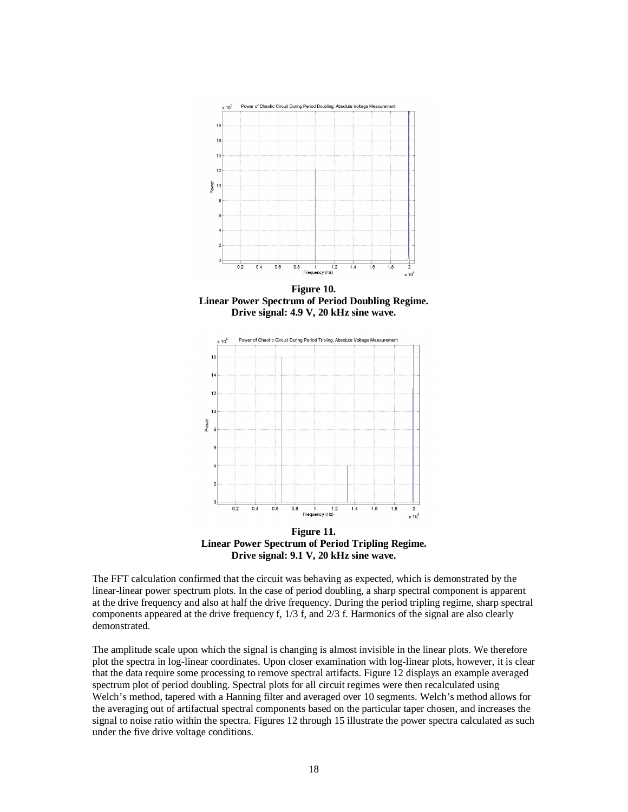

**Figure 10. Linear Power Spectrum of Period Doubling Regime. Drive signal: 4.9 V, 20 kHz sine wave.**



**Linear Power Spectrum of Period Tripling Regime. Drive signal: 9.1 V, 20 kHz sine wave.**

The FFT calculation confirmed that the circuit was behaving as expected, which is demonstrated by the linear-linear power spectrum plots. In the case of period doubling, a sharp spectral component is apparent at the drive frequency and also at half the drive frequency. During the period tripling regime, sharp spectral components appeared at the drive frequency f, 1/3 f, and 2/3 f. Harmonics of the signal are also clearly demonstrated.

The amplitude scale upon which the signal is changing is almost invisible in the linear plots. We therefore plot the spectra in log-linear coordinates. Upon closer examination with log-linear plots, however, it is clear that the data require some processing to remove spectral artifacts. Figure 12 displays an example averaged spectrum plot of period doubling. Spectral plots for all circuit regimes were then recalculated using Welch's method, tapered with a Hanning filter and averaged over 10 segments. Welch's method allows for the averaging out of artifactual spectral components based on the particular taper chosen, and increases the signal to noise ratio within the spectra. Figures 12 through 15 illustrate the power spectra calculated as such under the five drive voltage conditions.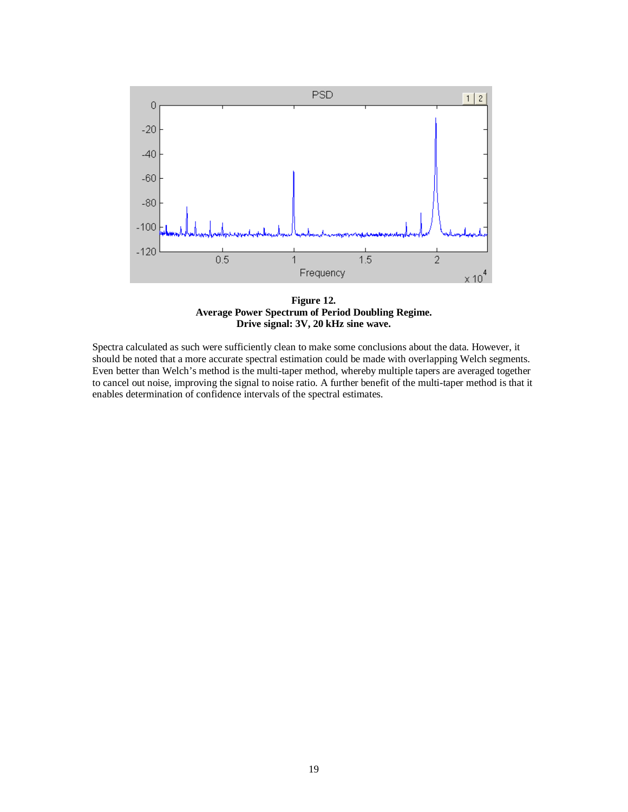

**Figure 12. Average Power Spectrum of Period Doubling Regime. Drive signal: 3V, 20 kHz sine wave.**

Spectra calculated as such were sufficiently clean to make some conclusions about the data. However, it should be noted that a more accurate spectral estimation could be made with overlapping Welch segments. Even better than Welch's method is the multi-taper method, whereby multiple tapers are averaged together to cancel out noise, improving the signal to noise ratio. A further benefit of the multi-taper method is that it enables determination of confidence intervals of the spectral estimates.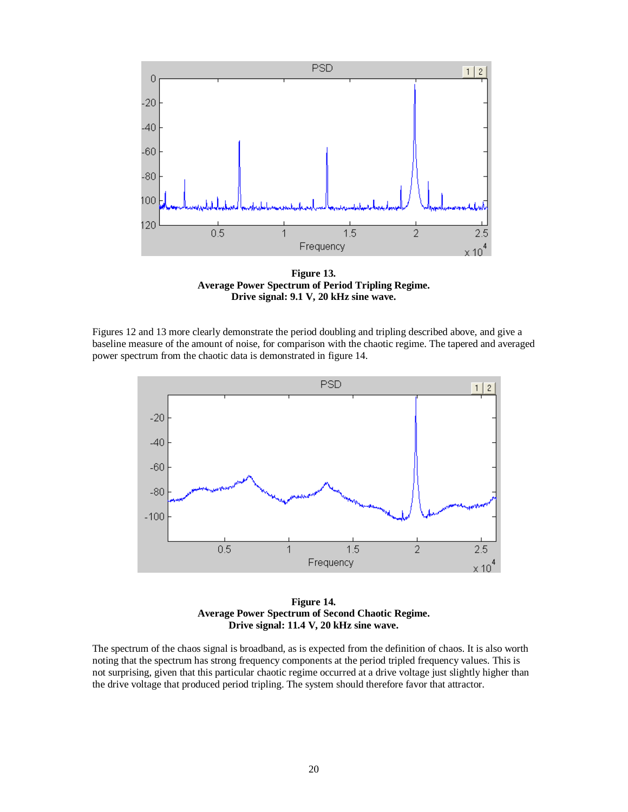

**Figure 13. Average Power Spectrum of Period Tripling Regime. Drive signal: 9.1 V, 20 kHz sine wave.**

Figures 12 and 13 more clearly demonstrate the period doubling and tripling described above, and give a baseline measure of the amount of noise, for comparison with the chaotic regime. The tapered and averaged power spectrum from the chaotic data is demonstrated in figure 14.



**Figure 14. Average Power Spectrum of Second Chaotic Regime. Drive signal: 11.4 V, 20 kHz sine wave.**

The spectrum of the chaos signal is broadband, as is expected from the definition of chaos. It is also worth noting that the spectrum has strong frequency components at the period tripled frequency values. This is not surprising, given that this particular chaotic regime occurred at a drive voltage just slightly higher than the drive voltage that produced period tripling. The system should therefore favor that attractor.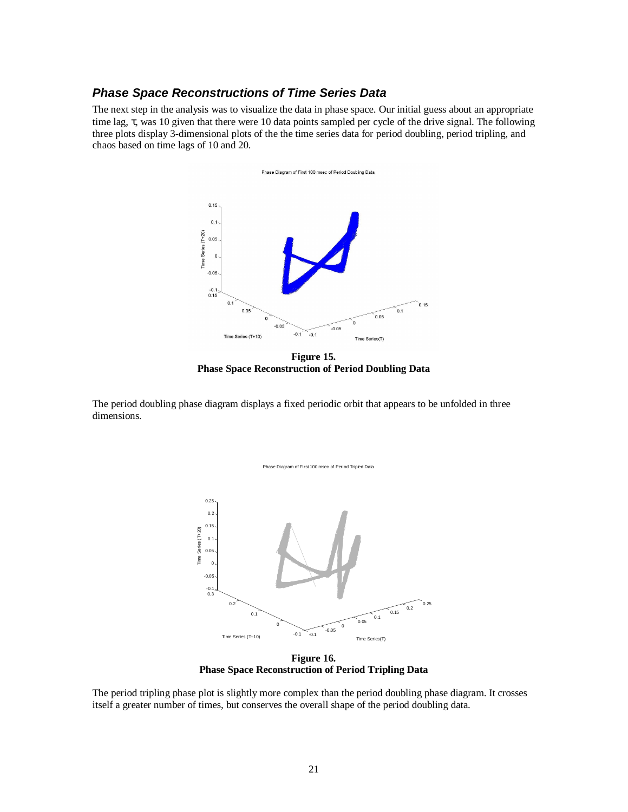#### **Phase Space Reconstructions of Time Series Data**

The next step in the analysis was to visualize the data in phase space. Our initial guess about an appropriate time lag, τ, was 10 given that there were 10 data points sampled per cycle of the drive signal. The following three plots display 3-dimensional plots of the the time series data for period doubling, period tripling, and chaos based on time lags of 10 and 20.



**Figure 15. Phase Space Reconstruction of Period Doubling Data**

The period doubling phase diagram displays a fixed periodic orbit that appears to be unfolded in three dimensions.



**Figure 16. Phase Space Reconstruction of Period Tripling Data**

The period tripling phase plot is slightly more complex than the period doubling phase diagram. It crosses itself a greater number of times, but conserves the overall shape of the period doubling data.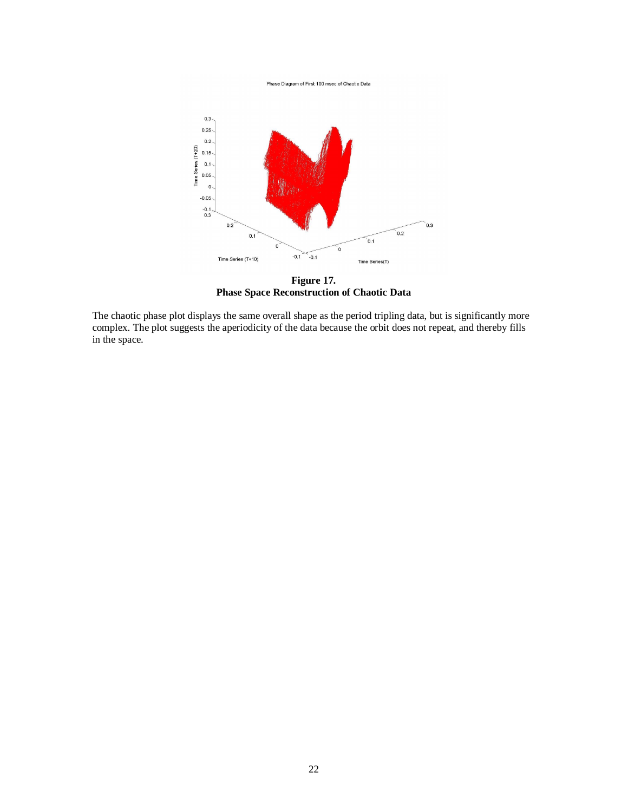Phase Diagram of First 100 msec of Chaotic Data



**Figure 17. Phase Space Reconstruction of Chaotic Data**

The chaotic phase plot displays the same overall shape as the period tripling data, but is significantly more complex. The plot suggests the aperiodicity of the data because the orbit does not repeat, and thereby fills in the space.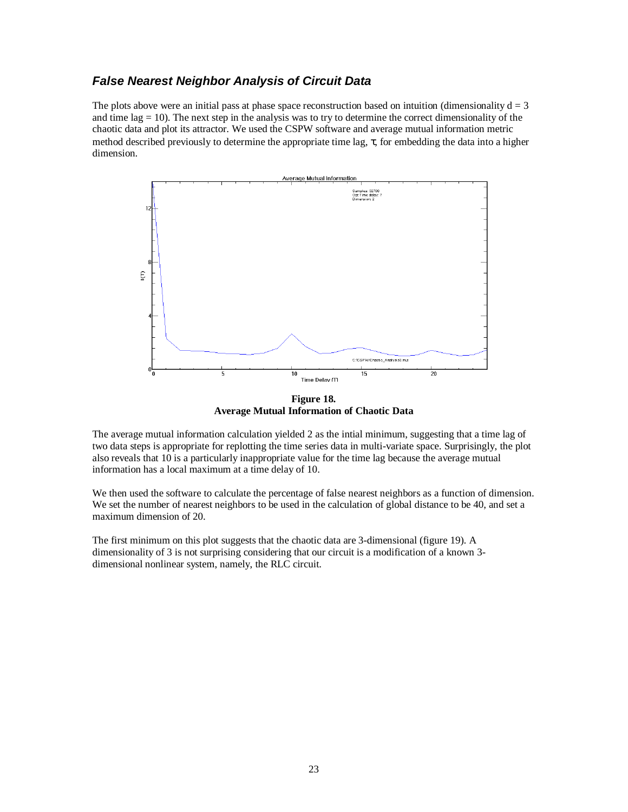#### **False Nearest Neighbor Analysis of Circuit Data**

The plots above were an initial pass at phase space reconstruction based on intuition (dimensionality  $d = 3$ ) and time  $\log = 10$ ). The next step in the analysis was to try to determine the correct dimensionality of the chaotic data and plot its attractor. We used the CSPW software and average mutual information metric method described previously to determine the appropriate time lag,  $\tau$ , for embedding the data into a higher dimension.



**Figure 18. Average Mutual Information of Chaotic Data**

The average mutual information calculation yielded 2 as the intial minimum, suggesting that a time lag of two data steps is appropriate for replotting the time series data in multi-variate space. Surprisingly, the plot also reveals that 10 is a particularly inappropriate value for the time lag because the average mutual information has a local maximum at a time delay of 10.

We then used the software to calculate the percentage of false nearest neighbors as a function of dimension. We set the number of nearest neighbors to be used in the calculation of global distance to be 40, and set a maximum dimension of 20.

The first minimum on this plot suggests that the chaotic data are 3-dimensional (figure 19). A dimensionality of 3 is not surprising considering that our circuit is a modification of a known 3 dimensional nonlinear system, namely, the RLC circuit.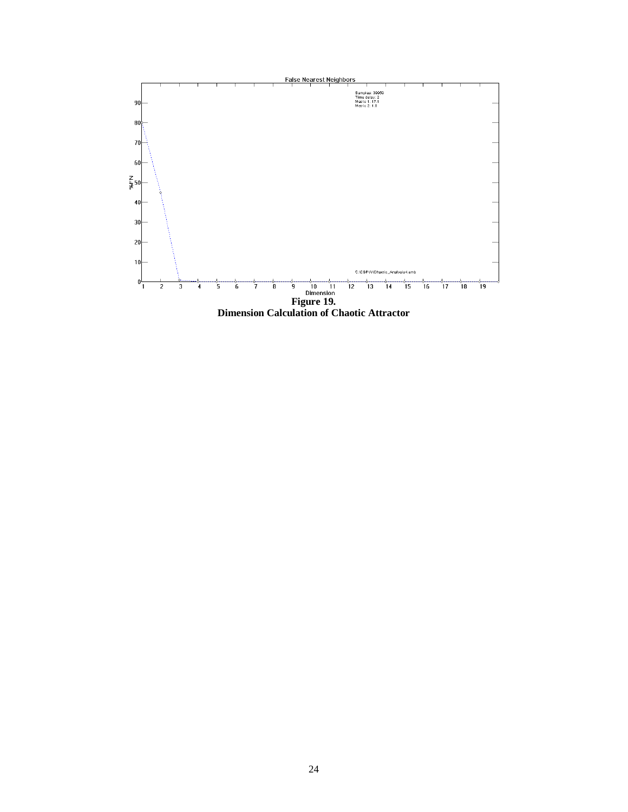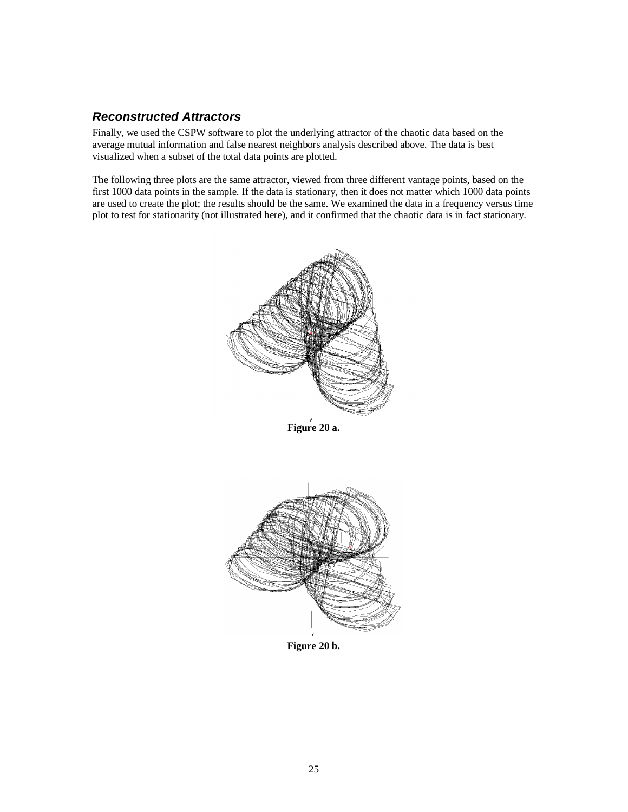### **Reconstructed Attractors**

Finally, we used the CSPW software to plot the underlying attractor of the chaotic data based on the average mutual information and false nearest neighbors analysis described above. The data is best visualized when a subset of the total data points are plotted.

The following three plots are the same attractor, viewed from three different vantage points, based on the first 1000 data points in the sample. If the data is stationary, then it does not matter which 1000 data points are used to create the plot; the results should be the same. We examined the data in a frequency versus time plot to test for stationarity (not illustrated here), and it confirmed that the chaotic data is in fact stationary.



**Figure 20 a.**



**Figure 20 b.**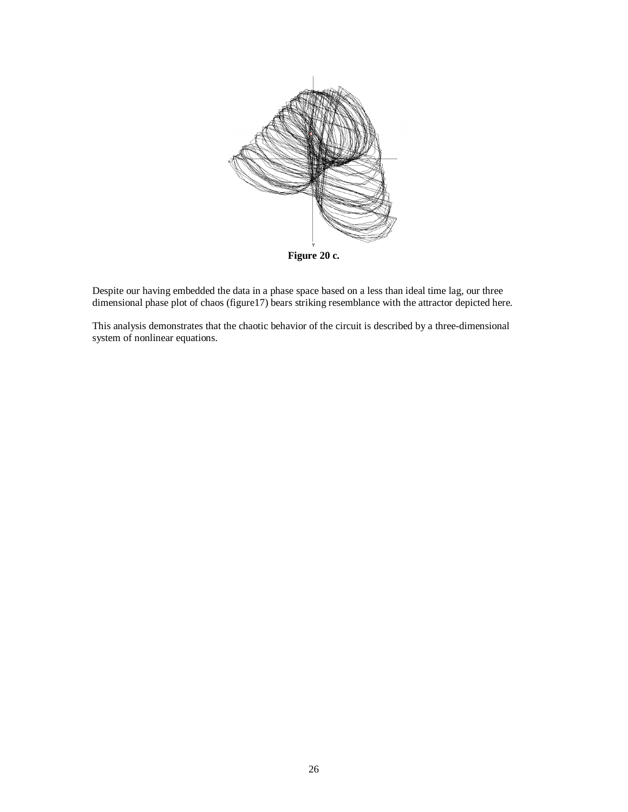

Despite our having embedded the data in a phase space based on a less than ideal time lag, our three dimensional phase plot of chaos (figure17) bears striking resemblance with the attractor depicted here.

This analysis demonstrates that the chaotic behavior of the circuit is described by a three-dimensional system of nonlinear equations.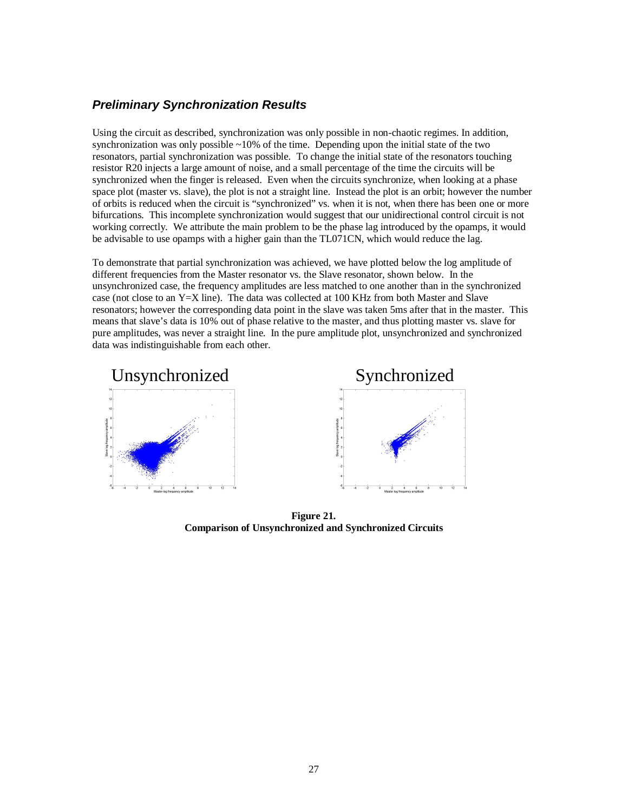### **Preliminary Synchronization Results**

Using the circuit as described, synchronization was only possible in non-chaotic regimes. In addition, synchronization was only possible  $\sim$ 10% of the time. Depending upon the initial state of the two resonators, partial synchronization was possible. To change the initial state of the resonators touching resistor R20 injects a large amount of noise, and a small percentage of the time the circuits will be synchronized when the finger is released. Even when the circuits synchronize, when looking at a phase space plot (master vs. slave), the plot is not a straight line. Instead the plot is an orbit; however the number of orbits is reduced when the circuit is "synchronized" vs. when it is not, when there has been one or more bifurcations. This incomplete synchronization would suggest that our unidirectional control circuit is not working correctly. We attribute the main problem to be the phase lag introduced by the opamps, it would be advisable to use opamps with a higher gain than the TL071CN, which would reduce the lag.

To demonstrate that partial synchronization was achieved, we have plotted below the log amplitude of different frequencies from the Master resonator vs. the Slave resonator, shown below. In the unsynchronized case, the frequency amplitudes are less matched to one another than in the synchronized case (not close to an  $Y=X$  line). The data was collected at 100 KHz from both Master and Slave resonators; however the corresponding data point in the slave was taken 5ms after that in the master. This means that slave's data is 10% out of phase relative to the master, and thus plotting master vs. slave for pure amplitudes, was never a straight line. In the pure amplitude plot, unsynchronized and synchronized data was indistinguishable from each other.



**Figure 21. Comparison of Unsynchronized and Synchronized Circuits**